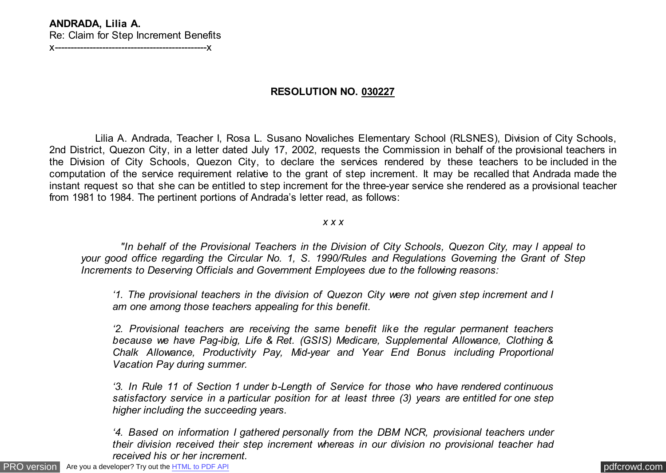### **ANDRADA, Lilia A.** Re: Claim for Step Increment Benefits x------------------------------------------------x

**RESOLUTION NO. 030227**

 Lilia A. Andrada, Teacher I, Rosa L. Susano Novaliches Elementary School (RLSNES), Division of City Schools, 2nd District, Quezon City, in a letter dated July 17, 2002, requests the Commission in behalf of the provisional teachers in the Division of City Schools, Quezon City, to declare the services rendered by these teachers to be included in the computation of the service requirement relative to the grant of step increment. It may be recalled that Andrada made the instant request so that she can be entitled to step increment for the three-year service she rendered as a provisional teacher from 1981 to 1984. The pertinent portions of Andrada's letter read, as follows:

#### *x x x*

 *"In behalf of the Provisional Teachers in the Division of City Schools, Quezon City, may I appeal to your good office regarding the Circular No. 1, S. 1990/Rules and Regulations Governing the Grant of Step Increments to Deserving Officials and Government Employees due to the following reasons:*

*'1. The provisional teachers in the division of Quezon City were not given step increment and I am one among those teachers appealing for this benefit.*

*'2. Provisional teachers are receiving the same benefit like the regular permanent teachers because we have Pag-ibig, Life & Ret. (GSIS) Medicare, Supplemental Allowance, Clothing & Chalk Allowance, Productivity Pay, Mid-year and Year End Bonus including Proportional Vacation Pay during summer.*

*'3. In Rule 11 of Section 1 under b-Length of Service for those who have rendered continuous satisfactory service in a particular position for at least three (3) years are entitled for one step higher including the succeeding years.*

*'4. Based on information I gathered personally from the DBM NCR, provisional teachers under their division received their step increment whereas in our division no provisional teacher had received his or her increment.*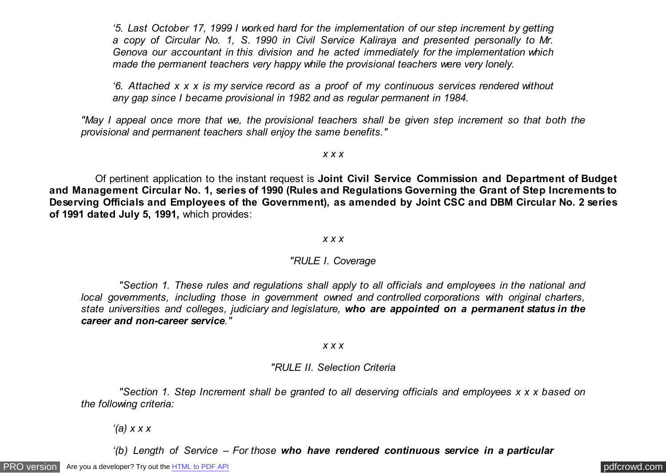*'5. Last October 17, 1999 I worked hard for the implementation of our step increment by getting a copy of Circular No. 1, S. 1990 in Civil Service Kaliraya and presented personally to Mr. Genova our accountant in this division and he acted immediately for the implementation which made the permanent teachers very happy while the provisional teachers were very lonely.*

*'6. Attached x x x is my service record as a proof of my continuous services rendered without any gap since I became provisional in 1982 and as regular permanent in 1984.*

*"May I appeal once more that we, the provisional teachers shall be given step increment so that both the provisional and permanent teachers shall enjoy the same benefits."*

*x x x*

 Of pertinent application to the instant request is **Joint Civil Service Commission and Department of Budget and Management Circular No. 1, series of 1990 (Rules and Regulations Governing the Grant of Step Increments to Deserving Officials and Employees of the Government), as amended by Joint CSC and DBM Circular No. 2 series of 1991 dated July 5, 1991,** which provides:

### *x x x*

## *"RULE I. Coverage*

 *"Section 1. These rules and regulations shall apply to all officials and employees in the national and local governments, including those in government owned and controlled corporations with original charters, state universities and colleges, judiciary and legislature, who are appointed on a permanent status in the career and non-career service."*

### *x x x*

## *"RULE II. Selection Criteria*

 *"Section 1. Step Increment shall be granted to all deserving officials and employees x x x based on the following criteria:*

*'(a) x x x*

*'(b) Length of Service – For those who have rendered continuous service in a particular*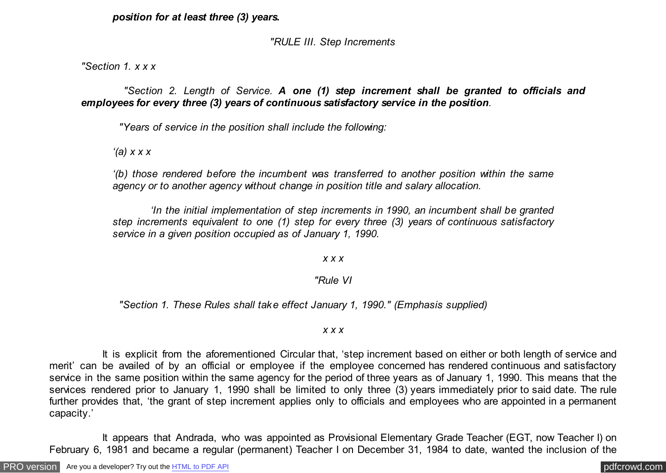## *position for at least three (3) years.*

# *"RULE III. Step Increments*

*"Section 1. x x x*

 *"Section 2. Length of Service. A one (1) step increment shall be granted to officials and employees for every three (3) years of continuous satisfactory service in the position.*

 *"Years of service in the position shall include the following:*

*'(a) x x x*

*'(b) those rendered before the incumbent was transferred to another position within the same agency or to another agency without change in position title and salary allocation.*

 *'In the initial implementation of step increments in 1990, an incumbent shall be granted step increments equivalent to one (1) step for every three (3) years of continuous satisfactory service in a given position occupied as of January 1, 1990.*

*x x x*

# *"Rule VI*

 *"Section 1. These Rules shall take effect January 1, 1990." (Emphasis supplied)*

## *x x x*

 It is explicit from the aforementioned Circular that, 'step increment based on either or both length of service and merit' can be availed of by an official or employee if the employee concerned has rendered continuous and satisfactory service in the same position within the same agency for the period of three years as of January 1, 1990. This means that the services rendered prior to January 1, 1990 shall be limited to only three (3) years immediately prior to said date. The rule further provides that, 'the grant of step increment applies only to officials and employees who are appointed in a permanent capacity.'

 It appears that Andrada, who was appointed as Provisional Elementary Grade Teacher (EGT, now Teacher I) on February 6, 1981 and became a regular (permanent) Teacher I on December 31, 1984 to date, wanted the inclusion of the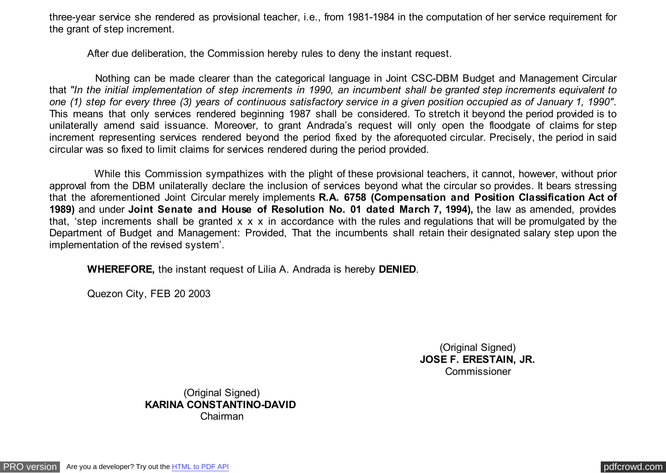three-year service she rendered as provisional teacher, i.e., from 1981-1984 in the computation of her service requirement for the grant of step increment.

After due deliberation, the Commission hereby rules to deny the instant request.

 Nothing can be made clearer than the categorical language in Joint CSC-DBM Budget and Management Circular that *"In the initial implementation of step increments in 1990, an incumbent shall be granted step increments equivalent to one (1) step for every three (3) years of continuous satisfactory service in a given position occupied as of January 1, 1990"*. This means that only services rendered beginning 1987 shall be considered. To stretch it beyond the period provided is to unilaterally amend said issuance. Moreover, to grant Andrada's request will only open the floodgate of claims for step increment representing services rendered beyond the period fixed by the aforequoted circular. Precisely, the period in said circular was so fixed to limit claims for services rendered during the period provided.

 While this Commission sympathizes with the plight of these provisional teachers, it cannot, however, without prior approval from the DBM unilaterally declare the inclusion of services beyond what the circular so provides. It bears stressing that the aforementioned Joint Circular merely implements **R.A. 6758 (Compensation and Position Classification Act of 1989)** and under **Joint Senate and House of Resolution No. 01 dated March 7, 1994),** the law as amended, provides that, 'step increments shall be granted x x x in accordance with the rules and regulations that will be promulgated by the Department of Budget and Management: Provided, That the incumbents shall retain their designated salary step upon the implementation of the revised system'.

 **WHEREFORE,** the instant request of Lilia A. Andrada is hereby **DENIED**.

Quezon City, FEB 20 2003

(Original Signed) **JOSE F. ERESTAIN, JR.** Commissioner

(Original Signed) **KARINA CONSTANTINO-DAVID**  Chairman

[PRO version](http://pdfcrowd.com/customize/) Are you a developer? Try out th[e HTML to PDF API](http://pdfcrowd.com/html-to-pdf-api/?ref=pdf) provided and the example of the HTML to PDF API [pdfcrowd.com](http://pdfcrowd.com)